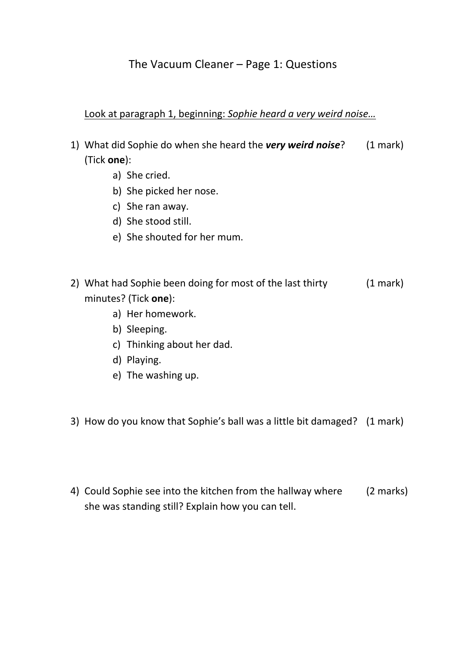## The Vacuum Cleaner – Page 1: Questions

## Look at paragraph 1, beginning: *Sophie heard a very weird noise…*

- 1) What did Sophie do when she heard the *very weird noise*? (1 mark) (Tick **one**):
	- a) She cried.
	- b) She picked her nose.
	- c) She ran away.
	- d) She stood still.
	- e) She shouted for her mum.
- 2) What had Sophie been doing for most of the last thirty (1 mark) minutes? (Tick **one**):
	- a) Her homework.
	- b) Sleeping.
	- c) Thinking about her dad.
	- d) Playing.
	- e) The washing up.
- 3) How do you know that Sophie's ball was a little bit damaged? (1 mark)
- 4) Could Sophie see into the kitchen from the hallway where (2 marks) she was standing still? Explain how you can tell.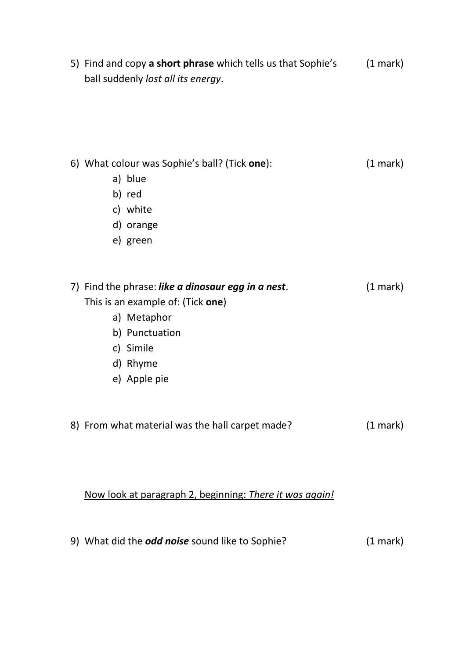5) Find and copy **a short phrase** which tells us that Sophie's (1 mark) ball suddenly *lost all its energy*.

| 6) What colour was Sophie's ball? (Tick one): |                                                    | $(1 \text{ mark})$ |
|-----------------------------------------------|----------------------------------------------------|--------------------|
|                                               | a) blue                                            |                    |
|                                               | b) red                                             |                    |
|                                               | c) white                                           |                    |
|                                               | d) orange                                          |                    |
|                                               | e) green                                           |                    |
|                                               |                                                    |                    |
|                                               |                                                    |                    |
|                                               | 7) Find the phrase: like a dinosaur egg in a nest. | $(1 \text{ mark})$ |
|                                               | This is an example of: (Tick one)                  |                    |
|                                               | a) Metaphor                                        |                    |
|                                               | b) Punctuation                                     |                    |
|                                               | c) Simile                                          |                    |
|                                               | d) Rhyme                                           |                    |
|                                               | e) Apple pie                                       |                    |
|                                               |                                                    |                    |
|                                               |                                                    |                    |
|                                               | 8) From what material was the hall carpet made?    | $(1 \text{ mark})$ |
|                                               |                                                    |                    |
|                                               |                                                    |                    |
|                                               |                                                    |                    |

Now look at paragraph 2, beginning: *There it was again!*

9) What did the *odd noise* sound like to Sophie? (1 mark)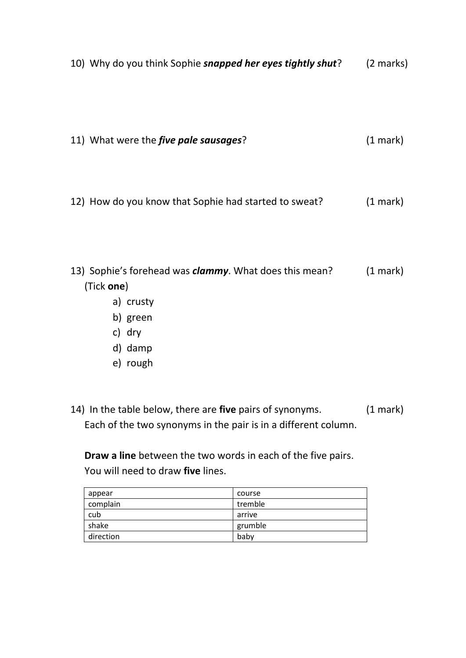10) Why do you think Sophie *snapped her eyes tightly shut*? (2 marks)

11) What were the *five pale sausages*? (1 mark)

12) How do you know that Sophie had started to sweat? (1 mark)

13) Sophie's forehead was *clammy*. What does this mean? (1 mark) (Tick **one**)

- a) crusty
- b) green
- c) dry
- d) damp
- e) rough
- 14) In the table below, there are **five** pairs of synonyms. (1 mark) Each of the two synonyms in the pair is in a different column.

**Draw a line** between the two words in each of the five pairs. You will need to draw **five** lines.

| appear    | course  |
|-----------|---------|
| complain  | tremble |
| cub       | arrive  |
| shake     | grumble |
| direction | baby    |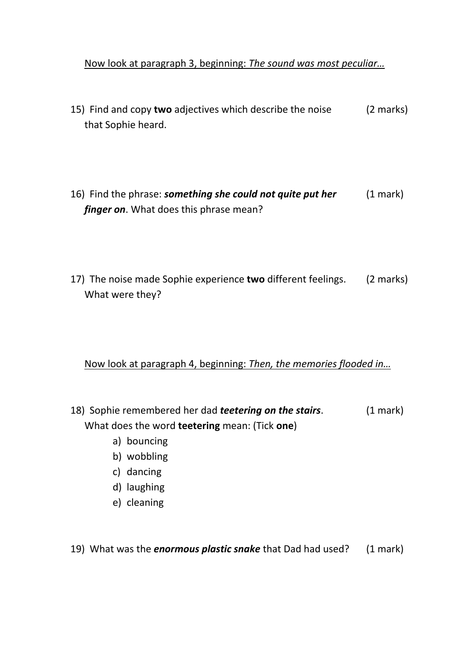## Now look at paragraph 3, beginning: *The sound was most peculiar…*

- 15) Find and copy **two** adjectives which describe the noise (2 marks) that Sophie heard.
- 16) Find the phrase: *something she could not quite put her* (1 mark) *finger on*. What does this phrase mean?
- 17) The noise made Sophie experience **two** different feelings. (2 marks) What were they?

## Now look at paragraph 4, beginning: *Then, the memories flooded in…*

- 18) Sophie remembered her dad *teetering on the stairs*. (1 mark) What does the word **teetering** mean: (Tick **one**)
	- a) bouncing
	- b) wobbling
	- c) dancing
	- d) laughing
	- e) cleaning

19) What was the *enormous plastic snake* that Dad had used? (1 mark)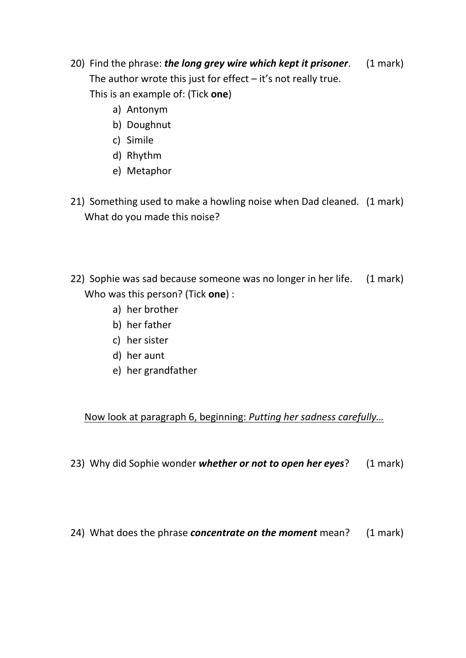- 20) Find the phrase: *the long grey wire which kept it prisoner*. (1 mark) The author wrote this just for effect  $-$  it's not really true. This is an example of: (Tick **one**)
	- a) Antonym
	- b) Doughnut
	- c) Simile
	- d) Rhythm
	- e) Metaphor
- 21) Something used to make a howling noise when Dad cleaned. (1 mark) What do you made this noise?
- 22) Sophie was sad because someone was no longer in her life. (1 mark) Who was this person? (Tick **one**) :
	- a) her brother
	- b) her father
	- c) her sister
	- d) her aunt
	- e) her grandfather

Now look at paragraph 6, beginning: *Putting her sadness carefully…*

23) Why did Sophie wonder *whether or not to open her eyes*? (1 mark)

24) What does the phrase *concentrate on the moment* mean? (1 mark)